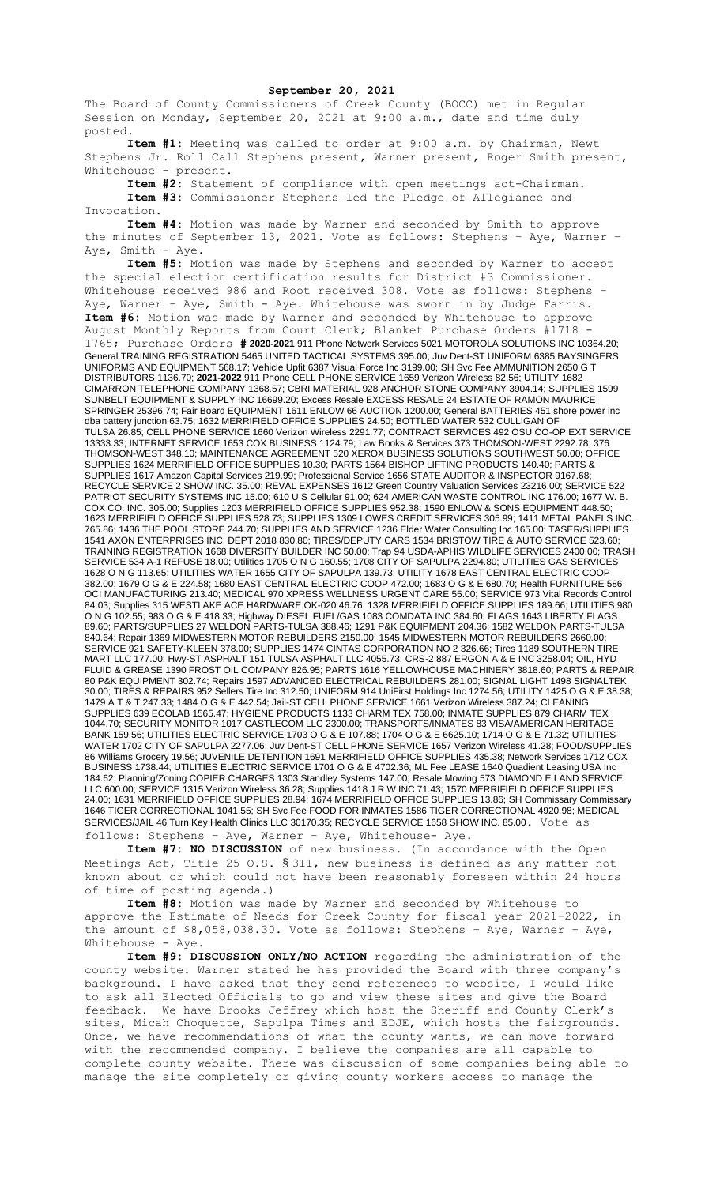The Board of County Commissioners of Creek County (BOCC) met in Regular Session on Monday, September 20, 2021 at 9:00 a.m., date and time duly posted.

**Item #1:** Meeting was called to order at 9:00 a.m. by Chairman, Newt Stephens Jr. Roll Call Stephens present, Warner present, Roger Smith present, Whitehouse - present.

**Item #2:** Statement of compliance with open meetings act-Chairman.

**Item #3:** Commissioner Stephens led the Pledge of Allegiance and Invocation.

**Item #4:** Motion was made by Warner and seconded by Smith to approve the minutes of September 13, 2021. Vote as follows: Stephens – Aye, Warner – Aye, Smith - Aye.

**Item #5:** Motion was made by Stephens and seconded by Warner to accept the special election certification results for District #3 Commissioner. Whitehouse received 986 and Root received 308. Vote as follows: Stephens -Aye, Warner – Aye, Smith - Aye. Whitehouse was sworn in by Judge Farris. **Item #6:** Motion was made by Warner and seconded by Whitehouse to approve August Monthly Reports from Court Clerk; Blanket Purchase Orders #1718 1765; Purchase Orders **# 2020-2021** 911 Phone Network Services 5021 MOTOROLA SOLUTIONS INC 10364.20; General TRAINING REGISTRATION 5465 UNITED TACTICAL SYSTEMS 395.00; Juv Dent-ST UNIFORM 6385 BAYSINGERS UNIFORMS AND EQUIPMENT 568.17; Vehicle Upfit 6387 Visual Force Inc 3199.00; SH Svc Fee AMMUNITION 2650 G T DISTRIBUTORS 1136.70; **2021-2022** 911 Phone CELL PHONE SERVICE 1659 Verizon Wireless 82.56; UTILITY 1682 CIMARRON TELEPHONE COMPANY 1368.57; CBRI MATERIAL 928 ANCHOR STONE COMPANY 3904.14; SUPPLIES 1599 SUNBELT EQUIPMENT & SUPPLY INC 16699.20; Excess Resale EXCESS RESALE 24 ESTATE OF RAMON MAURICE SPRINGER 25396.74; Fair Board EQUIPMENT 1611 ENLOW 66 AUCTION 1200.00; General BATTERIES 451 shore power inc dba battery junction 63.75; 1632 MERRIFIELD OFFICE SUPPLIES 24.50; BOTTLED WATER 532 CULLIGAN OF TULSA 26.85; CELL PHONE SERVICE 1660 Verizon Wireless 2291.77; CONTRACT SERVICES 492 OSU CO-OP EXT SERVICE 13333.33; INTERNET SERVICE 1653 COX BUSINESS 1124.79; Law Books & Services 373 THOMSON-WEST 2292.78; 376 THOMSON-WEST 348.10; MAINTENANCE AGREEMENT 520 XEROX BUSINESS SOLUTIONS SOUTHWEST 50.00; OFFICE SUPPLIES 1624 MERRIFIELD OFFICE SUPPLIES 10.30; PARTS 1564 BISHOP LIFTING PRODUCTS 140.40; PARTS & SUPPLIES 1617 Amazon Capital Services 219.99; Professional Service 1656 STATE AUDITOR & INSPECTOR 9167.68; RECYCLE SERVICE 2 SHOW INC. 35.00; REVAL EXPENSES 1612 Green Country Valuation Services 23216.00; SERVICE 522 PATRIOT SECURITY SYSTEMS INC 15.00; 610 U S Cellular 91.00; 624 AMERICAN WASTE CONTROL INC 176.00; 1677 W. B. COX CO. INC. 305.00; Supplies 1203 MERRIFIELD OFFICE SUPPLIES 952.38; 1590 ENLOW & SONS EQUIPMENT 448.50; 1623 MERRIFIELD OFFICE SUPPLIES 528.73; SUPPLIES 1309 LOWES CREDIT SERVICES 305.99; 1411 METAL PANELS INC. 765.86; 1436 THE POOL STORE 244.70; SUPPLIES AND SERVICE 1236 Elder Water Consulting Inc 165.00; TASER/SUPPLIES 1541 AXON ENTERPRISES INC, DEPT 2018 830.80; TIRES/DEPUTY CARS 1534 BRISTOW TIRE & AUTO SERVICE 523.60; TRAINING REGISTRATION 1668 DIVERSITY BUILDER INC 50.00; Trap 94 USDA-APHIS WILDLIFE SERVICES 2400.00; TRASH SERVICE 534 A-1 REFUSE 18.00; Utilities 1705 O N G 160.55; 1708 CITY OF SAPULPA 2294.80; UTILITIES GAS SERVICES 1628 O N G 113.65; UTILITIES WATER 1655 CITY OF SAPULPA 139.73; UTILITY 1678 EAST CENTRAL ELECTRIC COOP 382.00; 1679 O G & E 224.58; 1680 EAST CENTRAL ELECTRIC COOP 472.00; 1683 O G & E 680.70; Health FURNITURE 586 OCI MANUFACTURING 213.40; MEDICAL 970 XPRESS WELLNESS URGENT CARE 55.00; SERVICE 973 Vital Records Control 84.03; Supplies 315 WESTLAKE ACE HARDWARE OK-020 46.76; 1328 MERRIFIELD OFFICE SUPPLIES 189.66; UTILITIES 980 O N G 102.55; 983 O G & E 418.33; Highway DIESEL FUEL/GAS 1083 COMDATA INC 384.60; FLAGS 1643 LIBERTY FLAGS 89.60; PARTS/SUPPLIES 27 WELDON PARTS-TULSA 388.46; 1291 P&K EQUIPMENT 204.36; 1582 WELDON PARTS-TULSA 840.64; Repair 1369 MIDWESTERN MOTOR REBUILDERS 2150.00; 1545 MIDWESTERN MOTOR REBUILDERS 2660.00; SERVICE 921 SAFETY-KLEEN 378.00; SUPPLIES 1474 CINTAS CORPORATION NO 2 326.66; Tires 1189 SOUTHERN TIRE MART LLC 177.00; Hwy-ST ASPHALT 151 TULSA ASPHALT LLC 4055.73; CRS-2 887 ERGON A & E INC 3258.04; OIL, HYD FLUID & GREASE 1390 FROST OIL COMPANY 826.95; PARTS 1616 YELLOWHOUSE MACHINERY 3818.60; PARTS & REPAIR 80 P&K EQUIPMENT 302.74; Repairs 1597 ADVANCED ELECTRICAL REBUILDERS 281.00; SIGNAL LIGHT 1498 SIGNALTEK 30.00; TIRES & REPAIRS 952 Sellers Tire Inc 312.50; UNIFORM 914 UniFirst Holdings Inc 1274.56; UTILITY 1425 O G & E 38.38; 1479 A T & T 247.33; 1484 O G & E 442.54; Jail-ST CELL PHONE SERVICE 1661 Verizon Wireless 387.24; CLEANING SUPPLIES 639 ECOLAB 1565.47; HYGIENE PRODUCTS 1133 CHARM TEX 758.00; INMATE SUPPLIES 879 CHARM TEX 1044.70; SECURITY MONITOR 1017 CASTLECOM LLC 2300.00; TRANSPORTS/INMATES 83 VISA/AMERICAN HERITAGE BANK 159.56; UTILITIES ELECTRIC SERVICE 1703 O G & E 107.88; 1704 O G & E 6625.10; 1714 O G & E 71.32; UTILITIES WATER 1702 CITY OF SAPULPA 2277.06; Juv Dent-ST CELL PHONE SERVICE 1657 Verizon Wireless 41.28; FOOD/SUPPLIES 86 Williams Grocery 19.56; JUVENILE DETENTION 1691 MERRIFIELD OFFICE SUPPLIES 435.38; Network Services 1712 COX BUSINESS 1738.44; UTILITIES ELECTRIC SERVICE 1701 O G & E 4702.36; ML Fee LEASE 1640 Quadient Leasing USA Inc 184.62; Planning/Zoning COPIER CHARGES 1303 Standley Systems 147.00; Resale Mowing 573 DIAMOND E LAND SERVICE LLC 600.00; SERVICE 1315 Verizon Wireless 36.28; Supplies 1418 J R W INC 71.43; 1570 MERRIFIELD OFFICE SUPPLIES 24.00; 1631 MERRIFIELD OFFICE SUPPLIES 28.94; 1674 MERRIFIELD OFFICE SUPPLIES 13.86; SH Commissary Commissary 1646 TIGER CORRECTIONAL 1041.55; SH Svc Fee FOOD FOR INMATES 1586 TIGER CORRECTIONAL 4920.98; MEDICAL SERVICES/JAIL 46 Turn Key Health Clinics LLC 30170.35; RECYCLE SERVICE 1658 SHOW INC. 85.00. Vote as

follows: Stephens – Aye, Warner – Aye, Whitehouse- Aye.

**Item #7: NO DISCUSSION** of new business. (In accordance with the Open Meetings Act, Title 25 O.S. § 311, new business is defined as any matter not known about or which could not have been reasonably foreseen within 24 hours of time of posting agenda.)

**Item #8:** Motion was made by Warner and seconded by Whitehouse to approve the Estimate of Needs for Creek County for fiscal year 2021-2022, in the amount of \$8,058,038.30. Vote as follows: Stephens – Aye, Warner – Aye, Whitehouse - Aye.

**Item #9: DISCUSSION ONLY/NO ACTION** regarding the administration of the county website. Warner stated he has provided the Board with three company's background. I have asked that they send references to website, I would like to ask all Elected Officials to go and view these sites and give the Board feedback. We have Brooks Jeffrey which host the Sheriff and County Clerk's sites, Micah Choquette, Sapulpa Times and EDJE, which hosts the fairgrounds. Once, we have recommendations of what the county wants, we can move forward with the recommended company. I believe the companies are all capable to complete county website. There was discussion of some companies being able to manage the site completely or giving county workers access to manage the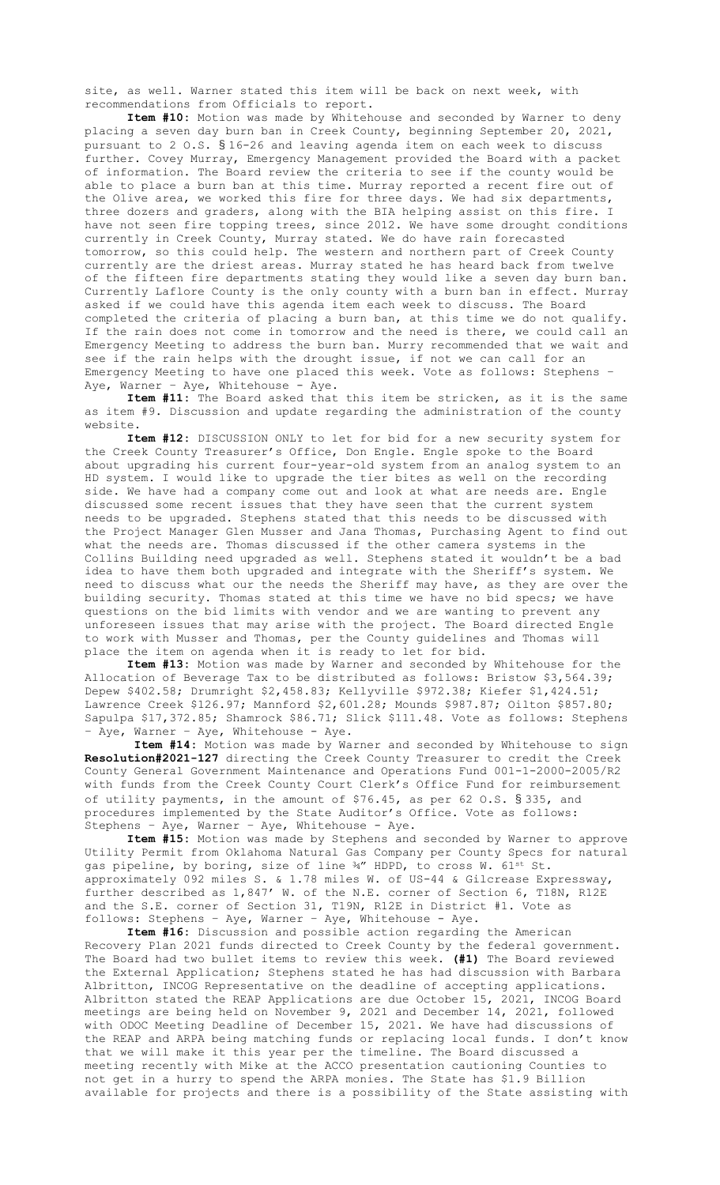site, as well. Warner stated this item will be back on next week, with recommendations from Officials to report.

**Item #10:** Motion was made by Whitehouse and seconded by Warner to deny placing a seven day burn ban in Creek County, beginning September 20, 2021, pursuant to 2 O.S. § 16-26 and leaving agenda item on each week to discuss further. Covey Murray, Emergency Management provided the Board with a packet of information. The Board review the criteria to see if the county would be able to place a burn ban at this time. Murray reported a recent fire out of the Olive area, we worked this fire for three days. We had six departments, three dozers and graders, along with the BIA helping assist on this fire. I have not seen fire topping trees, since 2012. We have some drought conditions currently in Creek County, Murray stated. We do have rain forecasted tomorrow, so this could help. The western and northern part of Creek County currently are the driest areas. Murray stated he has heard back from twelve of the fifteen fire departments stating they would like a seven day burn ban. Currently Laflore County is the only county with a burn ban in effect. Murray asked if we could have this agenda item each week to discuss. The Board completed the criteria of placing a burn ban, at this time we do not qualify. If the rain does not come in tomorrow and the need is there, we could call an Emergency Meeting to address the burn ban. Murry recommended that we wait and see if the rain helps with the drought issue, if not we can call for an Emergency Meeting to have one placed this week. Vote as follows: Stephens – Aye, Warner - Aye, Whitehouse - Aye.

**Item #11:** The Board asked that this item be stricken, as it is the same as item #9. Discussion and update regarding the administration of the county website.

**Item #12:** DISCUSSION ONLY to let for bid for a new security system for the Creek County Treasurer's Office, Don Engle. Engle spoke to the Board about upgrading his current four-year-old system from an analog system to an HD system. I would like to upgrade the tier bites as well on the recording side. We have had a company come out and look at what are needs are. Engle discussed some recent issues that they have seen that the current system needs to be upgraded. Stephens stated that this needs to be discussed with the Project Manager Glen Musser and Jana Thomas, Purchasing Agent to find out what the needs are. Thomas discussed if the other camera systems in the Collins Building need upgraded as well. Stephens stated it wouldn't be a bad idea to have them both upgraded and integrate with the Sheriff's system. We need to discuss what our the needs the Sheriff may have, as they are over the building security. Thomas stated at this time we have no bid specs; we have questions on the bid limits with vendor and we are wanting to prevent any unforeseen issues that may arise with the project. The Board directed Engle to work with Musser and Thomas, per the County guidelines and Thomas will place the item on agenda when it is ready to let for bid.

**Item #13:** Motion was made by Warner and seconded by Whitehouse for the Allocation of Beverage Tax to be distributed as follows: Bristow \$3,564.39; Depew \$402.58; Drumright \$2,458.83; Kellyville \$972.38; Kiefer \$1,424.51; Lawrence Creek \$126.97; Mannford \$2,601.28; Mounds \$987.87; Oilton \$857.80; Sapulpa \$17,372.85; Shamrock \$86.71; Slick \$111.48. Vote as follows: Stephens – Aye, Warner – Aye, Whitehouse - Aye.

**Item #14:** Motion was made by Warner and seconded by Whitehouse to sign **Resolution#2021-127** directing the Creek County Treasurer to credit the Creek County General Government Maintenance and Operations Fund 001-1-2000-2005/R2 with funds from the Creek County Court Clerk's Office Fund for reimbursement of utility payments, in the amount of \$76.45, as per 62 O.S. § 335, and procedures implemented by the State Auditor's Office. Vote as follows: Stephens – Aye, Warner – Aye, Whitehouse - Aye.

**Item #15:** Motion was made by Stephens and seconded by Warner to approve Utility Permit from Oklahoma Natural Gas Company per County Specs for natural gas pipeline, by boring, size of line 34" HDPD, to cross W. 61<sup>st</sup> St. approximately 092 miles S. & 1.78 miles W. of US-44 & Gilcrease Expressway, further described as 1,847' W. of the N.E. corner of Section 6, T18N, R12E and the S.E. corner of Section 31, T19N, R12E in District #1. Vote as follows: Stephens – Aye, Warner – Aye, Whitehouse - Aye.

**Item #16:** Discussion and possible action regarding the American Recovery Plan 2021 funds directed to Creek County by the federal government. The Board had two bullet items to review this week. **(#1)** The Board reviewed the External Application; Stephens stated he has had discussion with Barbara Albritton, INCOG Representative on the deadline of accepting applications. Albritton stated the REAP Applications are due October 15, 2021, INCOG Board meetings are being held on November 9, 2021 and December 14, 2021, followed with ODOC Meeting Deadline of December 15, 2021. We have had discussions of the REAP and ARPA being matching funds or replacing local funds. I don't know that we will make it this year per the timeline. The Board discussed a meeting recently with Mike at the ACCO presentation cautioning Counties to not get in a hurry to spend the ARPA monies. The State has \$1.9 Billion available for projects and there is a possibility of the State assisting with